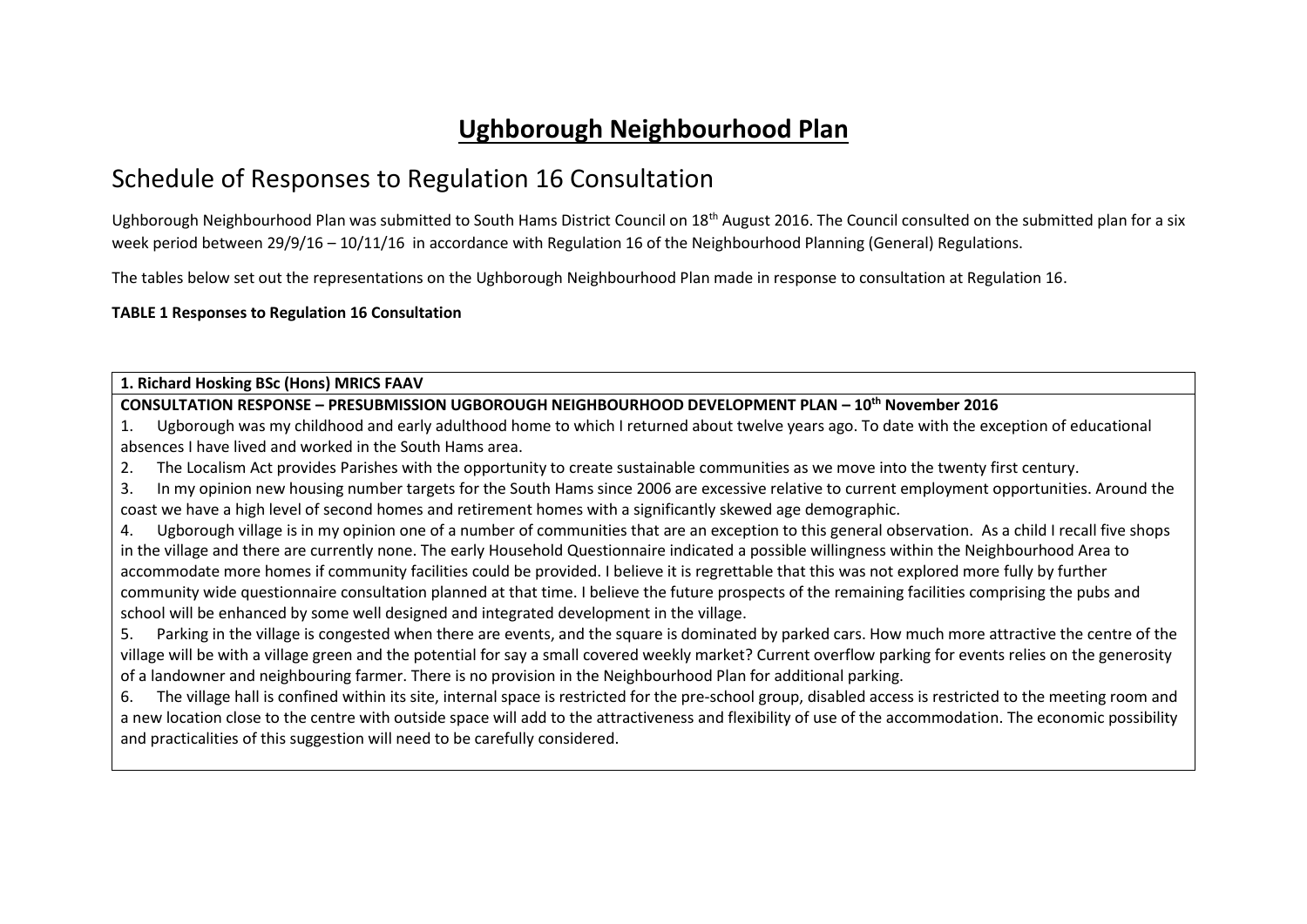# **Ughborough Neighbourhood Plan**

## Schedule of Responses to Regulation 16 Consultation

Ughborough Neighbourhood Plan was submitted to South Hams District Council on 18<sup>th</sup> August 2016. The Council consulted on the submitted plan for a six week period between 29/9/16 – 10/11/16 in accordance with Regulation 16 of the Neighbourhood Planning (General) Regulations.

The tables below set out the representations on the Ughborough Neighbourhood Plan made in response to consultation at Regulation 16.

## **TABLE 1 Responses to Regulation 16 Consultation**

**1. Richard Hosking BSc (Hons) MRICS FAAV**

**CONSULTATION RESPONSE – PRESUBMISSION UGBOROUGH NEIGHBOURHOOD DEVELOPMENT PLAN – 10th November 2016**

1. Ugborough was my childhood and early adulthood home to which I returned about twelve years ago. To date with the exception of educational absences I have lived and worked in the South Hams area.

2. The Localism Act provides Parishes with the opportunity to create sustainable communities as we move into the twenty first century.

3. In my opinion new housing number targets for the South Hams since 2006 are excessive relative to current employment opportunities. Around the coast we have a high level of second homes and retirement homes with a significantly skewed age demographic.

4. Ugborough village is in my opinion one of a number of communities that are an exception to this general observation. As a child I recall five shops in the village and there are currently none. The early Household Questionnaire indicated a possible willingness within the Neighbourhood Area to accommodate more homes if community facilities could be provided. I believe it is regrettable that this was not explored more fully by further community wide questionnaire consultation planned at that time. I believe the future prospects of the remaining facilities comprising the pubs and school will be enhanced by some well designed and integrated development in the village.

5. Parking in the village is congested when there are events, and the square is dominated by parked cars. How much more attractive the centre of the village will be with a village green and the potential for say a small covered weekly market? Current overflow parking for events relies on the generosity of a landowner and neighbouring farmer. There is no provision in the Neighbourhood Plan for additional parking.

6. The village hall is confined within its site, internal space is restricted for the pre-school group, disabled access is restricted to the meeting room and a new location close to the centre with outside space will add to the attractiveness and flexibility of use of the accommodation. The economic possibility and practicalities of this suggestion will need to be carefully considered.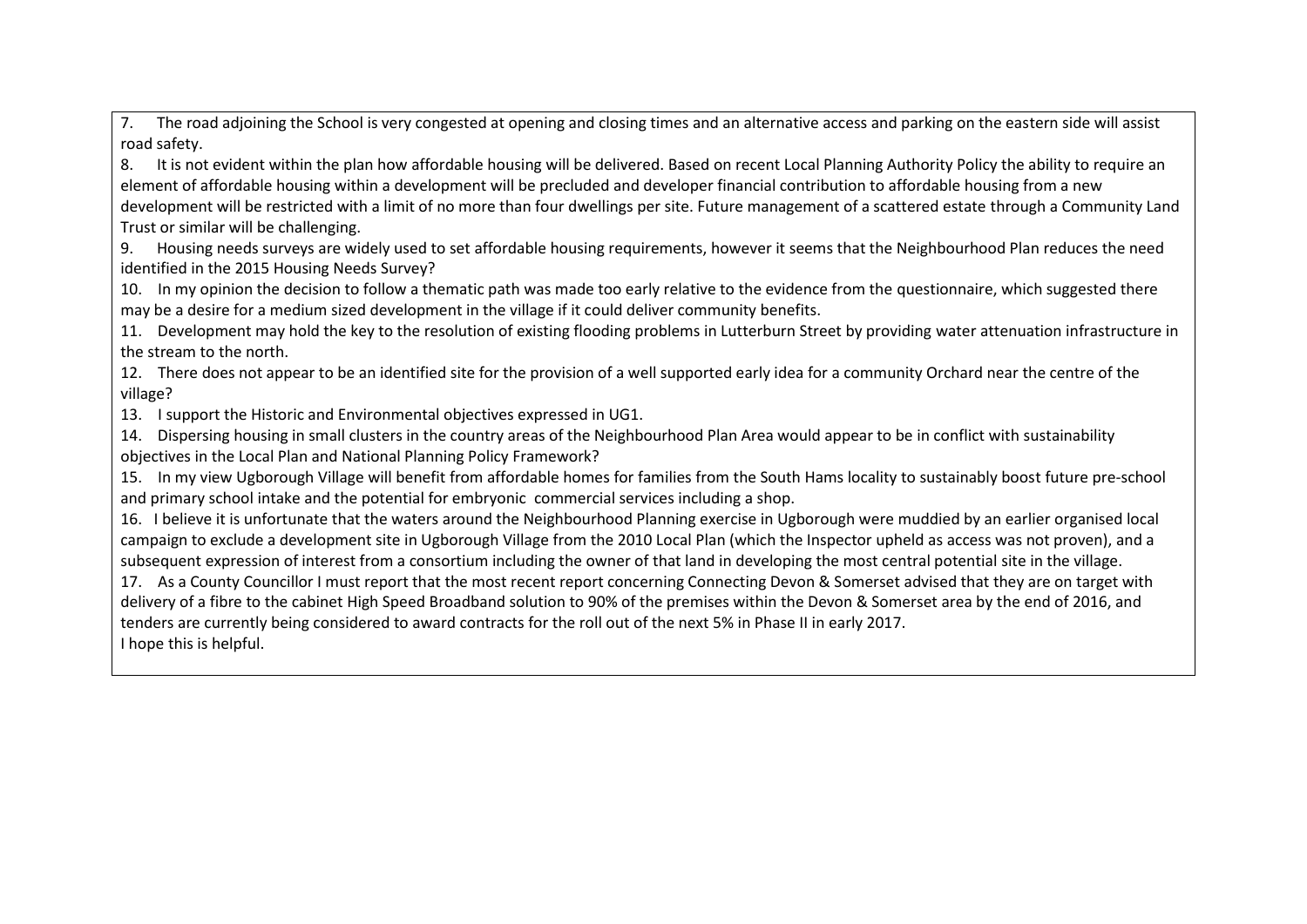7. The road adjoining the School is very congested at opening and closing times and an alternative access and parking on the eastern side will assist road safety.

8. It is not evident within the plan how affordable housing will be delivered. Based on recent Local Planning Authority Policy the ability to require an element of affordable housing within a development will be precluded and developer financial contribution to affordable housing from a new development will be restricted with a limit of no more than four dwellings per site. Future management of a scattered estate through a Community Land Trust or similar will be challenging.

9. Housing needs surveys are widely used to set affordable housing requirements, however it seems that the Neighbourhood Plan reduces the need identified in the 2015 Housing Needs Survey?

10. In my opinion the decision to follow a thematic path was made too early relative to the evidence from the questionnaire, which suggested there may be a desire for a medium sized development in the village if it could deliver community benefits.

11. Development may hold the key to the resolution of existing flooding problems in Lutterburn Street by providing water attenuation infrastructure in the stream to the north.

12. There does not appear to be an identified site for the provision of a well supported early idea for a community Orchard near the centre of the village?

13. I support the Historic and Environmental objectives expressed in UG1.

14. Dispersing housing in small clusters in the country areas of the Neighbourhood Plan Area would appear to be in conflict with sustainability objectives in the Local Plan and National Planning Policy Framework?

15. In my view Ugborough Village will benefit from affordable homes for families from the South Hams locality to sustainably boost future pre-school and primary school intake and the potential for embryonic commercial services including a shop.

16. I believe it is unfortunate that the waters around the Neighbourhood Planning exercise in Ugborough were muddied by an earlier organised local campaign to exclude a development site in Ugborough Village from the 2010 Local Plan (which the Inspector upheld as access was not proven), and a subsequent expression of interest from a consortium including the owner of that land in developing the most central potential site in the village.

17. As a County Councillor I must report that the most recent report concerning Connecting Devon & Somerset advised that they are on target with delivery of a fibre to the cabinet High Speed Broadband solution to 90% of the premises within the Devon & Somerset area by the end of 2016, and tenders are currently being considered to award contracts for the roll out of the next 5% in Phase II in early 2017. I hope this is helpful.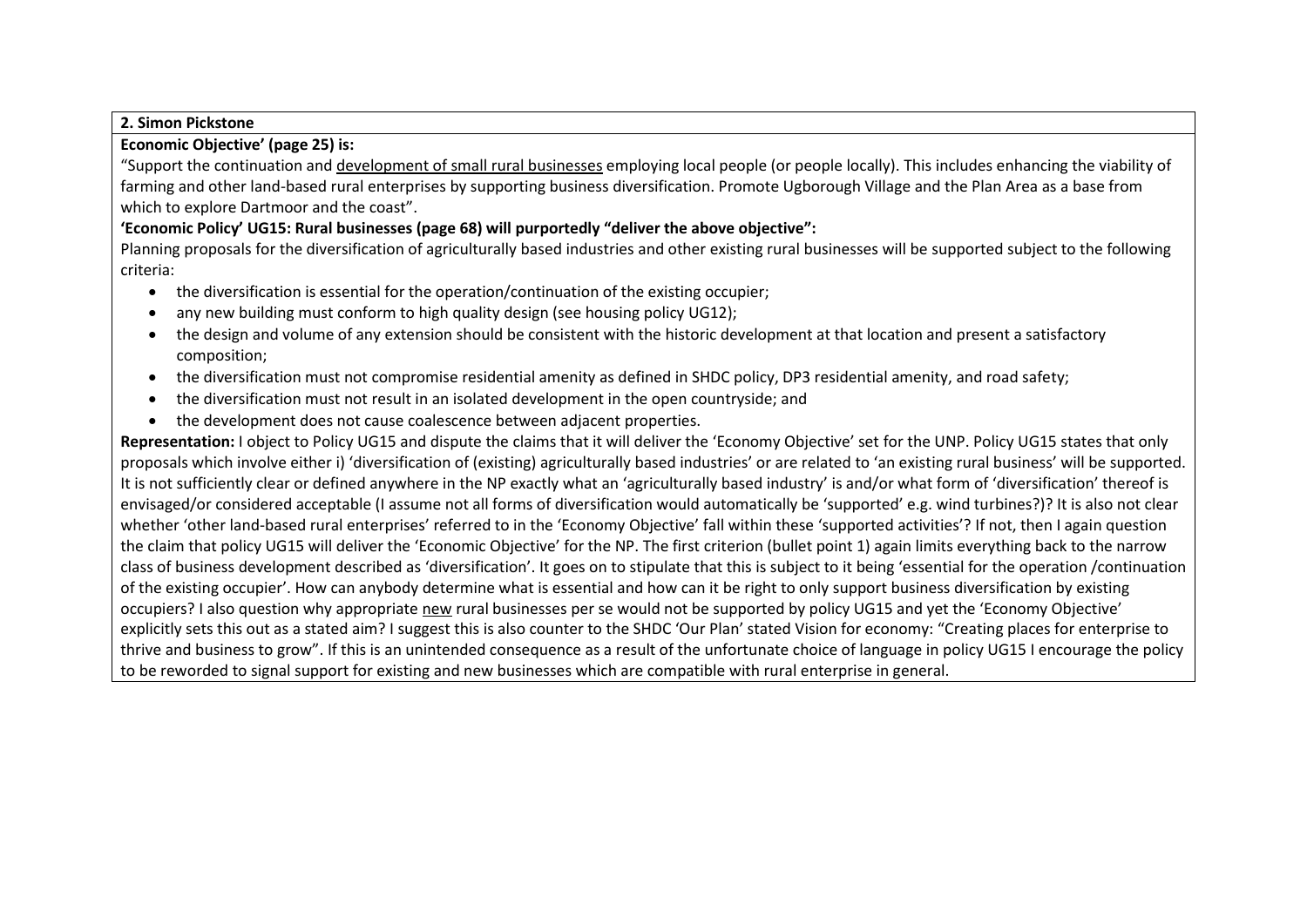## **2. Simon Pickstone**

## **Economic Objective' (page 25) is:**

"Support the continuation and development of small rural businesses employing local people (or people locally). This includes enhancing the viability of farming and other land-based rural enterprises by supporting business diversification. Promote Ugborough Village and the Plan Area as a base from which to explore Dartmoor and the coast".

## **'Economic Policy' UG15: Rural businesses (page 68) will purportedly "deliver the above objective":**

Planning proposals for the diversification of agriculturally based industries and other existing rural businesses will be supported subject to the following criteria:

- the diversification is essential for the operation/continuation of the existing occupier;
- any new building must conform to high quality design (see housing policy UG12);
- the design and volume of any extension should be consistent with the historic development at that location and present a satisfactory composition;
- the diversification must not compromise residential amenity as defined in SHDC policy, DP3 residential amenity, and road safety;
- the diversification must not result in an isolated development in the open countryside; and
- the development does not cause coalescence between adjacent properties.

Representation: I object to Policy UG15 and dispute the claims that it will deliver the 'Economy Objective' set for the UNP. Policy UG15 states that only proposals which involve either i) 'diversification of (existing) agriculturally based industries' or are related to 'an existing rural business' will be supported. It is not sufficiently clear or defined anywhere in the NP exactly what an 'agriculturally based industry' is and/or what form of 'diversification' thereof is envisaged/or considered acceptable (I assume not all forms of diversification would automatically be 'supported' e.g. wind turbines?)? It is also not clear whether 'other land-based rural enterprises' referred to in the 'Economy Objective' fall within these 'supported activities'? If not, then I again question the claim that policy UG15 will deliver the 'Economic Objective' for the NP. The first criterion (bullet point 1) again limits everything back to the narrow class of business development described as 'diversification'. It goes on to stipulate that this is subject to it being 'essential for the operation /continuation of the existing occupier'. How can anybody determine what is essential and how can it be right to only support business diversification by existing occupiers? I also question why appropriate new rural businesses per se would not be supported by policy UG15 and yet the 'Economy Objective' explicitly sets this out as a stated aim? I suggest this is also counter to the SHDC 'Our Plan' stated Vision for economy: "Creating places for enterprise to thrive and business to grow". If this is an unintended consequence as a result of the unfortunate choice of language in policy UG15 I encourage the policy to be reworded to signal support for existing and new businesses which are compatible with rural enterprise in general.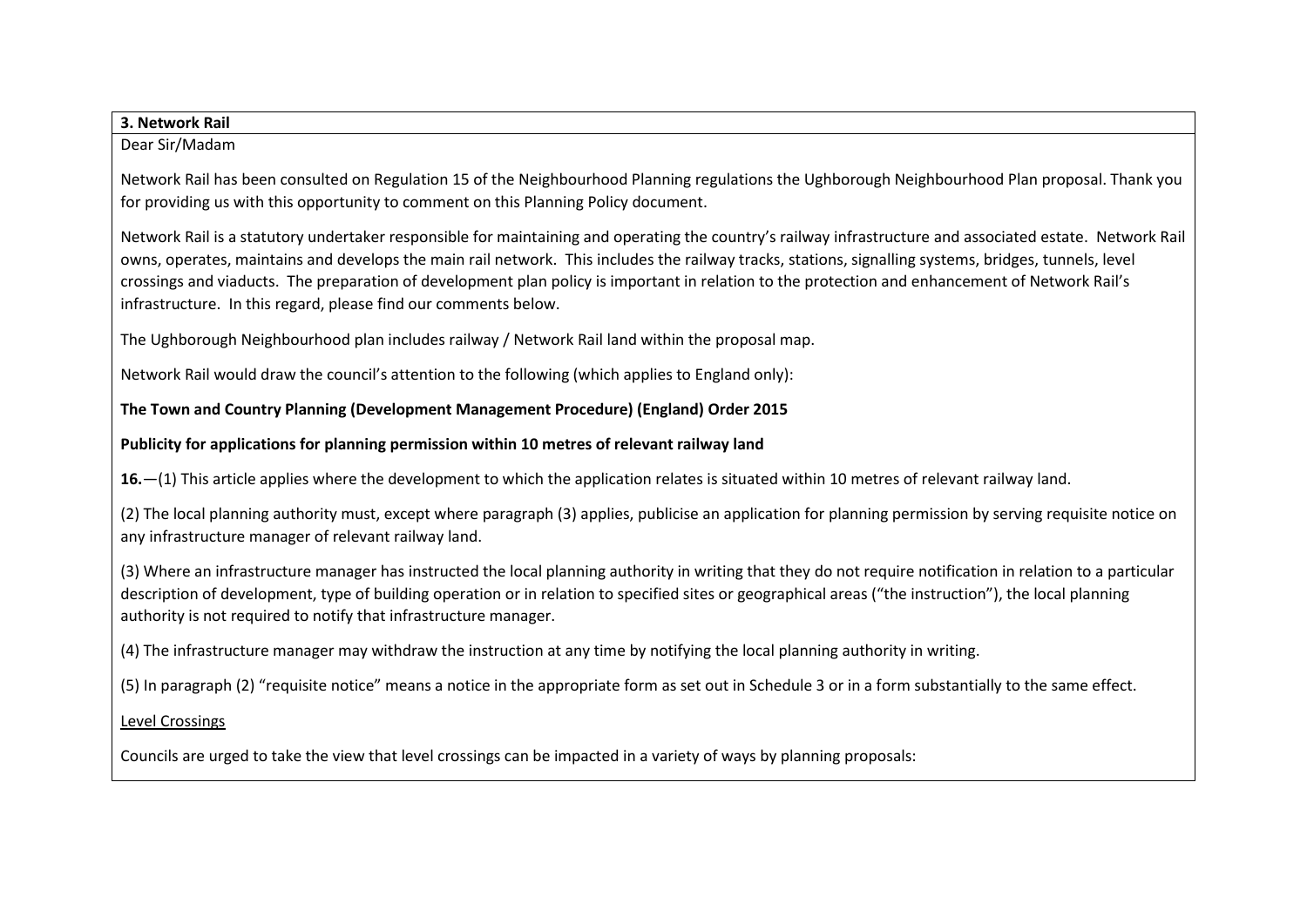| 3. Network Rail                                                                                                                                                                                                                                                                                                                                                                                                                                                                                                                          |
|------------------------------------------------------------------------------------------------------------------------------------------------------------------------------------------------------------------------------------------------------------------------------------------------------------------------------------------------------------------------------------------------------------------------------------------------------------------------------------------------------------------------------------------|
| Dear Sir/Madam                                                                                                                                                                                                                                                                                                                                                                                                                                                                                                                           |
| Network Rail has been consulted on Regulation 15 of the Neighbourhood Planning regulations the Ughborough Neighbourhood Plan proposal. Thank you<br>for providing us with this opportunity to comment on this Planning Policy document.                                                                                                                                                                                                                                                                                                  |
| Network Rail is a statutory undertaker responsible for maintaining and operating the country's railway infrastructure and associated estate. Network Rail<br>owns, operates, maintains and develops the main rail network. This includes the railway tracks, stations, signalling systems, bridges, tunnels, level<br>crossings and viaducts. The preparation of development plan policy is important in relation to the protection and enhancement of Network Rail's<br>infrastructure. In this regard, please find our comments below. |
| The Ughborough Neighbourhood plan includes railway / Network Rail land within the proposal map.                                                                                                                                                                                                                                                                                                                                                                                                                                          |
| Network Rail would draw the council's attention to the following (which applies to England only):                                                                                                                                                                                                                                                                                                                                                                                                                                        |
| The Town and Country Planning (Development Management Procedure) (England) Order 2015                                                                                                                                                                                                                                                                                                                                                                                                                                                    |
| Publicity for applications for planning permission within 10 metres of relevant railway land                                                                                                                                                                                                                                                                                                                                                                                                                                             |
| 16. - (1) This article applies where the development to which the application relates is situated within 10 metres of relevant railway land.                                                                                                                                                                                                                                                                                                                                                                                             |
| (2) The local planning authority must, except where paragraph (3) applies, publicise an application for planning permission by serving requisite notice on<br>any infrastructure manager of relevant railway land.                                                                                                                                                                                                                                                                                                                       |
| (3) Where an infrastructure manager has instructed the local planning authority in writing that they do not require notification in relation to a particular<br>description of development, type of building operation or in relation to specified sites or geographical areas ("the instruction"), the local planning<br>authority is not required to notify that infrastructure manager.                                                                                                                                               |
| (4) The infrastructure manager may withdraw the instruction at any time by notifying the local planning authority in writing.                                                                                                                                                                                                                                                                                                                                                                                                            |
| (5) In paragraph (2) "requisite notice" means a notice in the appropriate form as set out in Schedule 3 or in a form substantially to the same effect.                                                                                                                                                                                                                                                                                                                                                                                   |
| <b>Level Crossings</b>                                                                                                                                                                                                                                                                                                                                                                                                                                                                                                                   |
| Councils are urged to take the view that level crossings can be impacted in a variety of ways by planning proposals:                                                                                                                                                                                                                                                                                                                                                                                                                     |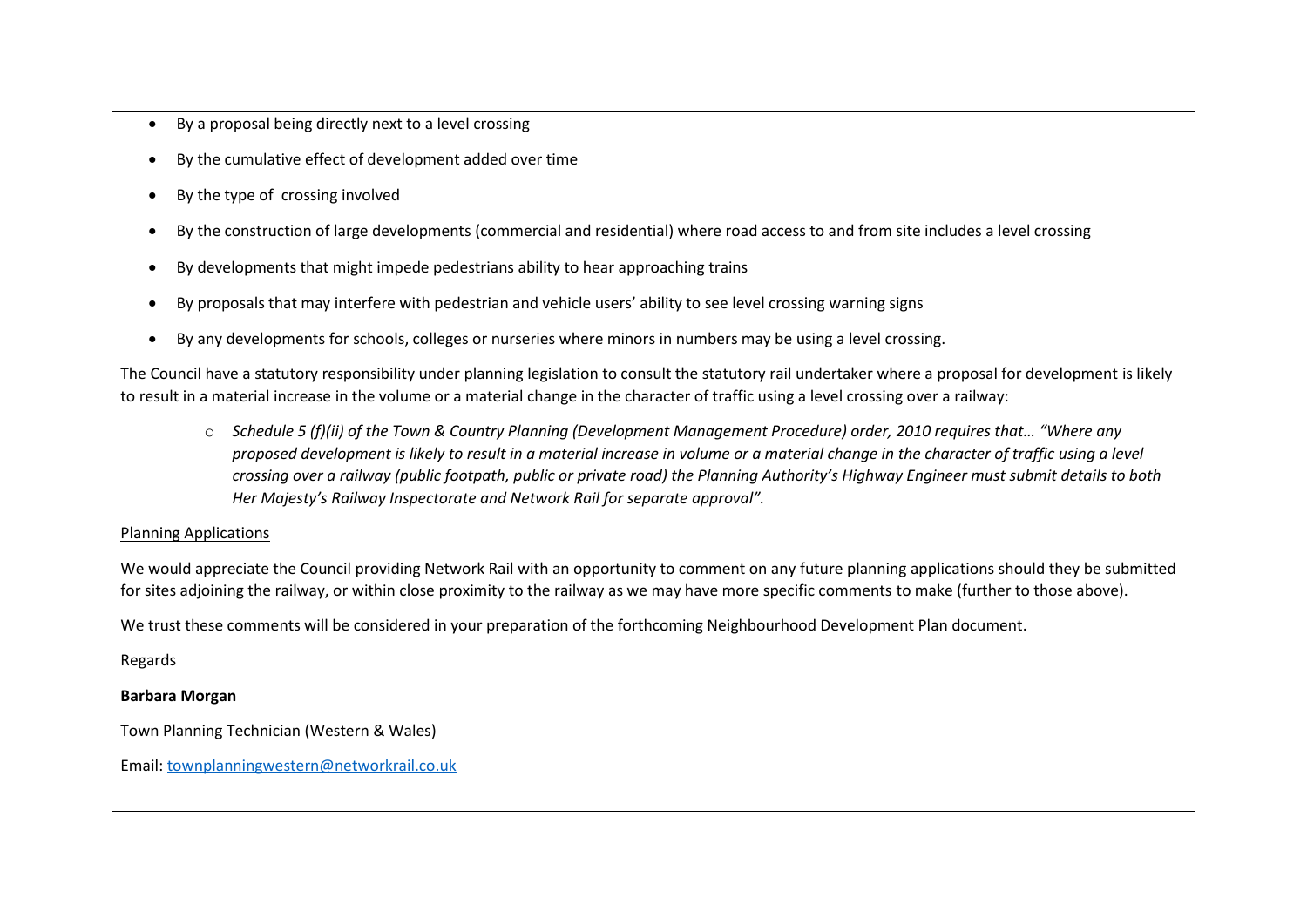- By a proposal being directly next to a level crossing
- By the cumulative effect of development added over time
- By the type of crossing involved
- By the construction of large developments (commercial and residential) where road access to and from site includes a level crossing
- By developments that might impede pedestrians ability to hear approaching trains
- By proposals that may interfere with pedestrian and vehicle users' ability to see level crossing warning signs
- By any developments for schools, colleges or nurseries where minors in numbers may be using a level crossing.

The Council have a statutory responsibility under planning legislation to consult the statutory rail undertaker where a proposal for development is likely to result in a material increase in the volume or a material change in the character of traffic using a level crossing over a railway:

o *Schedule 5 (f)(ii) of the Town & Country Planning (Development Management Procedure) order, 2010 requires that… "Where any proposed development is likely to result in a material increase in volume or a material change in the character of traffic using a level crossing over a railway (public footpath, public or private road) the Planning Authority's Highway Engineer must submit details to both Her Majesty's Railway Inspectorate and Network Rail for separate approval".*

## Planning Applications

We would appreciate the Council providing Network Rail with an opportunity to comment on any future planning applications should they be submitted for sites adjoining the railway, or within close proximity to the railway as we may have more specific comments to make (further to those above).

We trust these comments will be considered in your preparation of the forthcoming Neighbourhood Development Plan document.

Regards

## **Barbara Morgan**

Town Planning Technician (Western & Wales)

Email[: townplanningwestern@networkrail.co.uk](mailto:townplanningwestern@networkrail.co.uk)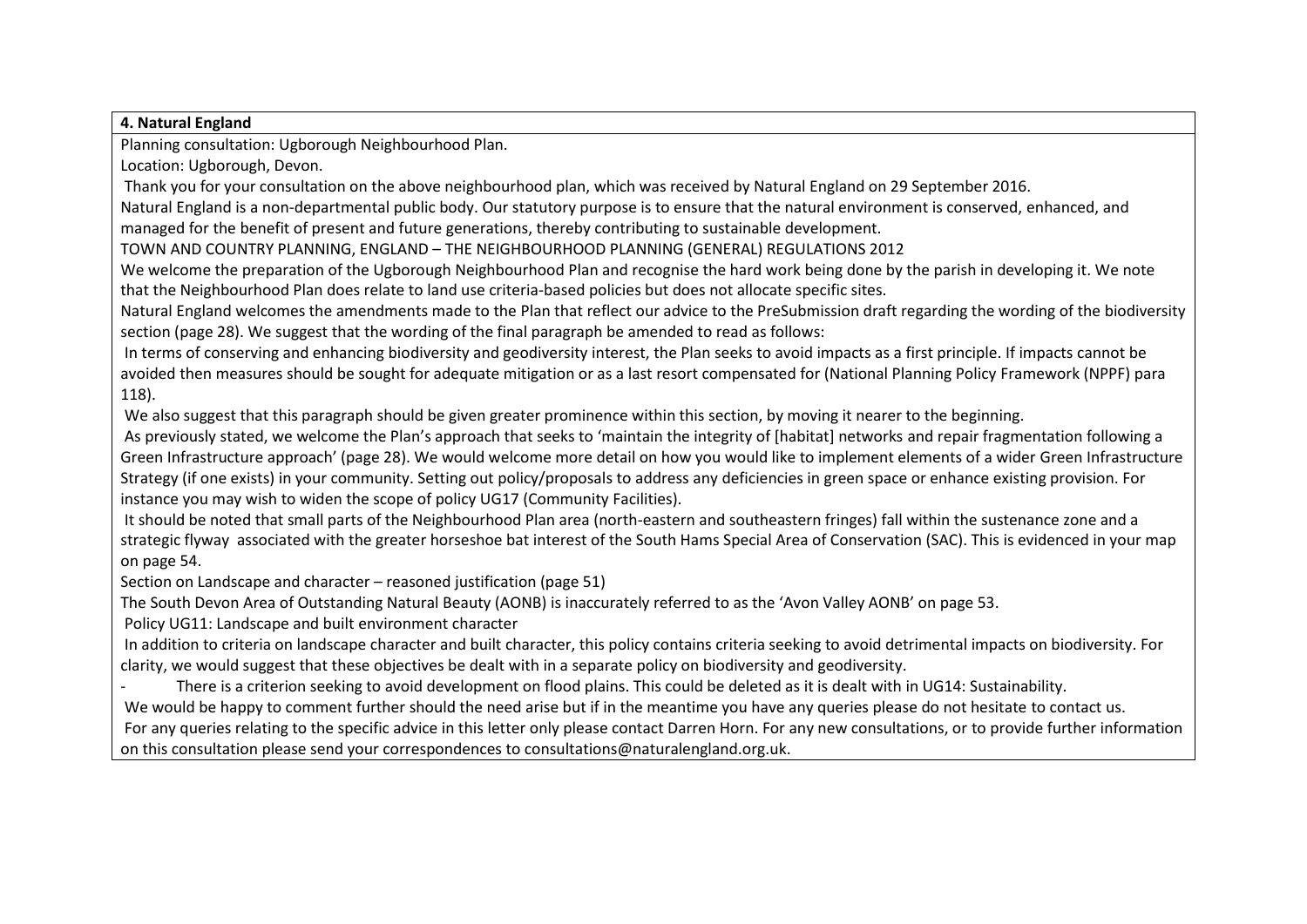#### **4. Natural England**

Planning consultation: Ugborough Neighbourhood Plan.

Location: Ugborough, Devon.

Thank you for your consultation on the above neighbourhood plan, which was received by Natural England on 29 September 2016.

Natural England is a non-departmental public body. Our statutory purpose is to ensure that the natural environment is conserved, enhanced, and managed for the benefit of present and future generations, thereby contributing to sustainable development.

TOWN AND COUNTRY PLANNING, ENGLAND – THE NEIGHBOURHOOD PLANNING (GENERAL) REGULATIONS 2012

We welcome the preparation of the Ugborough Neighbourhood Plan and recognise the hard work being done by the parish in developing it. We note that the Neighbourhood Plan does relate to land use criteria-based policies but does not allocate specific sites.

Natural England welcomes the amendments made to the Plan that reflect our advice to the PreSubmission draft regarding the wording of the biodiversity section (page 28). We suggest that the wording of the final paragraph be amended to read as follows:

In terms of conserving and enhancing biodiversity and geodiversity interest, the Plan seeks to avoid impacts as a first principle. If impacts cannot be avoided then measures should be sought for adequate mitigation or as a last resort compensated for (National Planning Policy Framework (NPPF) para 118).

We also suggest that this paragraph should be given greater prominence within this section, by moving it nearer to the beginning.

As previously stated, we welcome the Plan's approach that seeks to 'maintain the integrity of [habitat] networks and repair fragmentation following a Green Infrastructure approach' (page 28). We would welcome more detail on how you would like to implement elements of a wider Green Infrastructure Strategy (if one exists) in your community. Setting out policy/proposals to address any deficiencies in green space or enhance existing provision. For instance you may wish to widen the scope of policy UG17 (Community Facilities).

It should be noted that small parts of the Neighbourhood Plan area (north-eastern and southeastern fringes) fall within the sustenance zone and a strategic flyway associated with the greater horseshoe bat interest of the South Hams Special Area of Conservation (SAC). This is evidenced in your map on page 54.

Section on Landscape and character – reasoned justification (page 51)

The South Devon Area of Outstanding Natural Beauty (AONB) is inaccurately referred to as the 'Avon Valley AONB' on page 53.

Policy UG11: Landscape and built environment character

In addition to criteria on landscape character and built character, this policy contains criteria seeking to avoid detrimental impacts on biodiversity. For clarity, we would suggest that these objectives be dealt with in a separate policy on biodiversity and geodiversity.

There is a criterion seeking to avoid development on flood plains. This could be deleted as it is dealt with in UG14: Sustainability.

We would be happy to comment further should the need arise but if in the meantime you have any queries please do not hesitate to contact us.

For any queries relating to the specific advice in this letter only please contact Darren Horn. For any new consultations, or to provide further information on this consultation please send your correspondences to consultations@naturalengland.org.uk.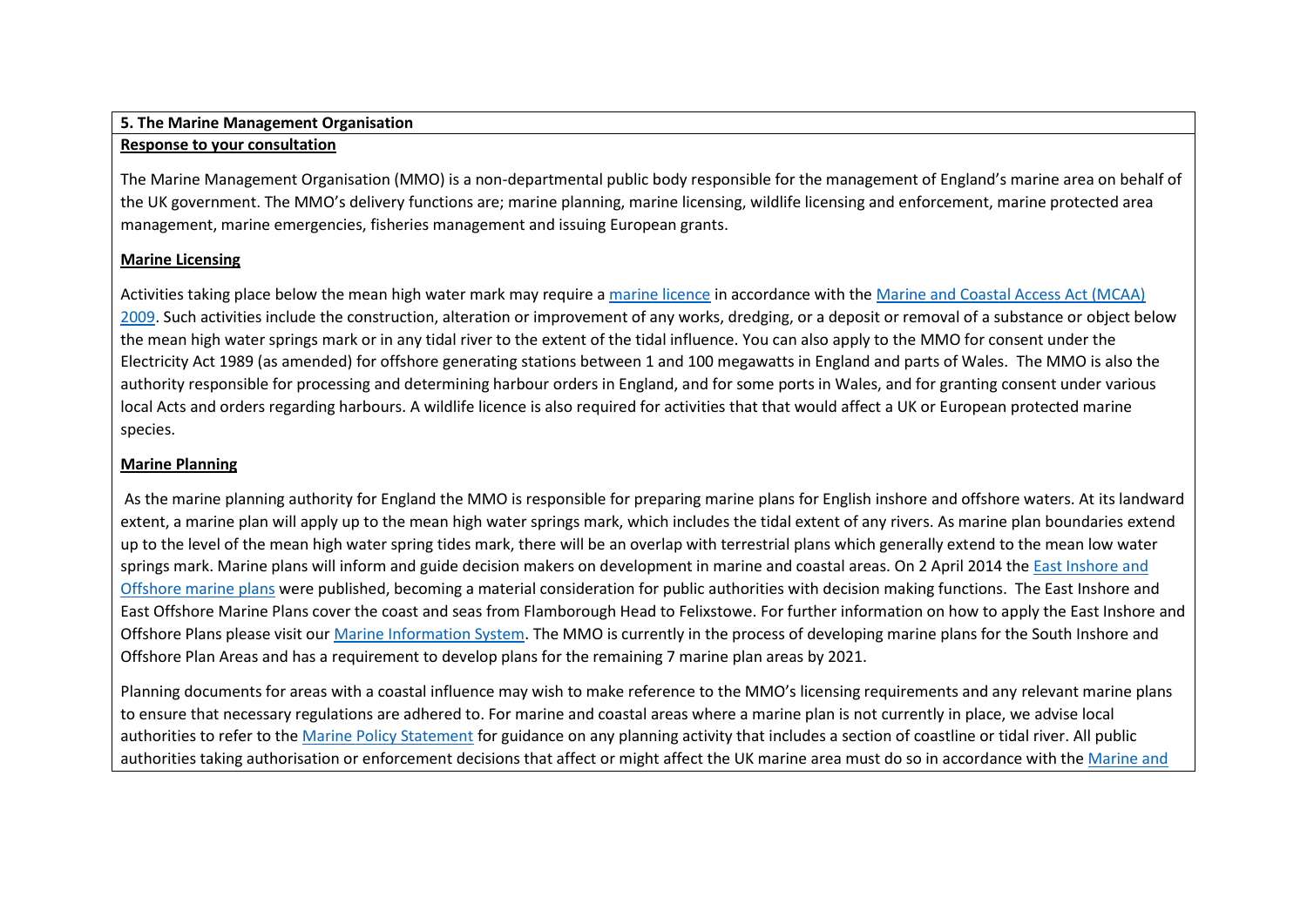### **5. The Marine Management Organisation**

#### **Response to your consultation**

The Marine Management Organisation (MMO) is a non-departmental public body responsible for the management of England's marine area on behalf of the UK government. The MMO's delivery functions are; marine planning, marine licensing, wildlife licensing and enforcement, marine protected area management, marine emergencies, fisheries management and issuing European grants.

### **Marine Licensing**

Activities taking place below the mean high water mark may require a [marine licence](https://www.gov.uk/topic/planning-development/marine-licences) in accordance with the [Marine and Coastal Access Act \(MCAA\)](http://www.legislation.gov.uk/ukpga/2009/23/contents)  [2009.](http://www.legislation.gov.uk/ukpga/2009/23/contents) Such activities include the construction, alteration or improvement of any works, dredging, or a deposit or removal of a substance or object below the mean high water springs mark or in any tidal river to the extent of the tidal influence. You can also apply to the MMO for consent under the Electricity Act 1989 (as amended) for offshore generating stations between 1 and 100 megawatts in England and parts of Wales. The MMO is also the authority responsible for processing and determining harbour orders in England, and for some ports in Wales, and for granting consent under various local Acts and orders regarding harbours. A wildlife licence is also required for activities that that would affect a UK or European protected marine species.

## **Marine Planning**

As the marine planning authority for England the MMO is responsible for preparing marine plans for English inshore and offshore waters. At its landward extent, a marine plan will apply up to the mean high water springs mark, which includes the tidal extent of any rivers. As marine plan boundaries extend up to the level of the mean high water spring tides mark, there will be an overlap with terrestrial plans which generally extend to the mean low water springs mark. Marine plans will inform and guide decision makers on development in marine and coastal areas. On 2 April 2014 th[e East Inshore and](http://www.marinemanagement.org.uk/marineplanning/areas/east_plans.htm)  [Offshore marine plans](http://www.marinemanagement.org.uk/marineplanning/areas/east_plans.htm) were published, becoming a material consideration for public authorities with decision making functions. The East Inshore and East Offshore Marine Plans cover the coast and seas from Flamborough Head to Felixstowe. For further information on how to apply the East Inshore and Offshore Plans please visit our [Marine Information System.](http://mis.marinemanagement.org.uk/) The MMO is currently in the process of developing marine plans for the South Inshore and Offshore Plan Areas and has a requirement to develop plans for the remaining 7 marine plan areas by 2021.

Planning documents for areas with a coastal influence may wish to make reference to the MMO's licensing requirements and any relevant marine plans to ensure that necessary regulations are adhered to. For marine and coastal areas where a marine plan is not currently in place, we advise local authorities to refer to th[e Marine Policy Statement](http://www.defra.gov.uk/news/2011/03/18/marine-policy-statement/) for guidance on any planning activity that includes a section of coastline or tidal river. All public authorities taking authorisation or enforcement decisions that affect or might affect the UK marine area must do so in accordance with th[e Marine and](http://www.legislation.gov.uk/ukpga/2009/23/contents)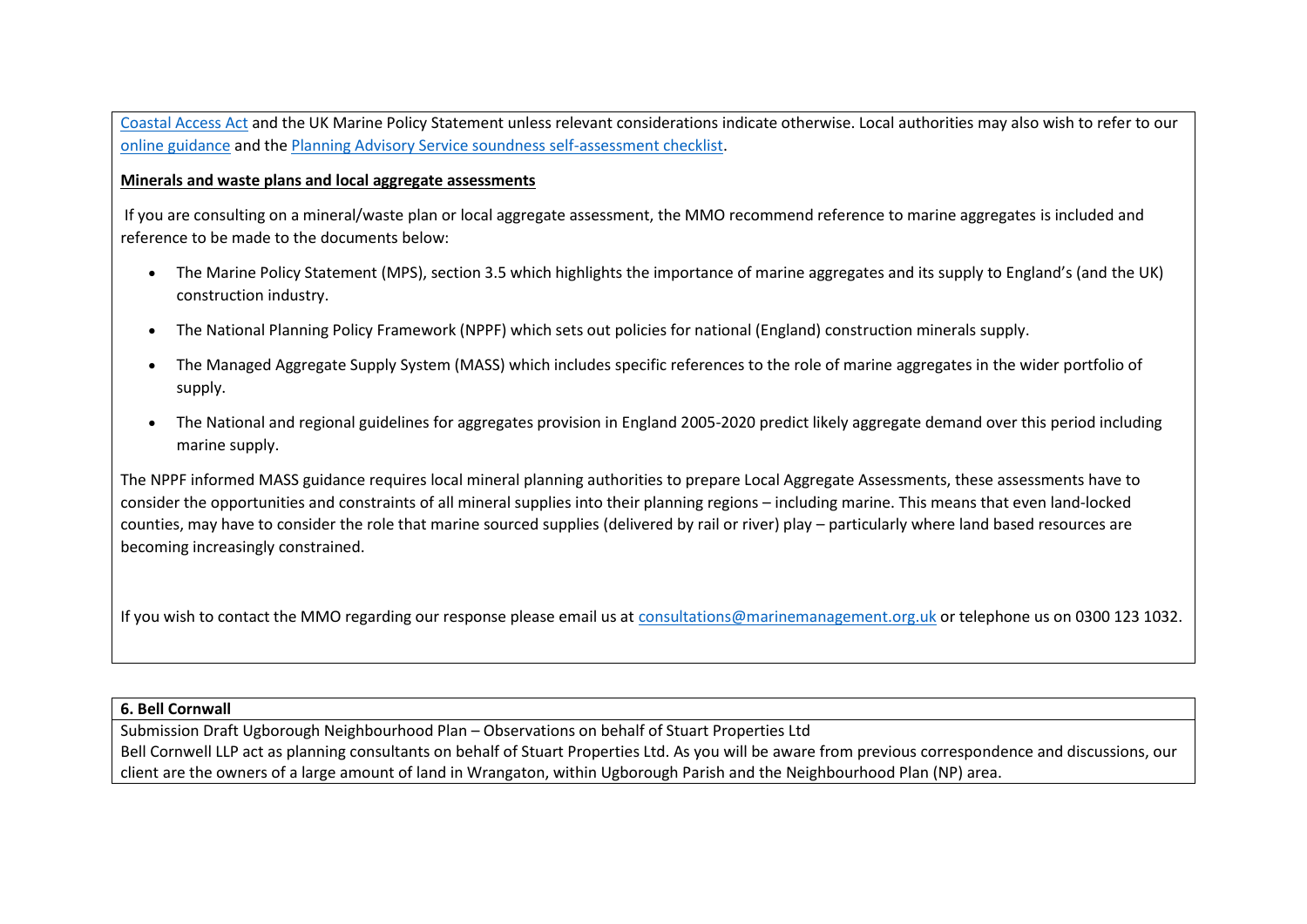[Coastal Access Act](http://www.legislation.gov.uk/ukpga/2009/23/contents) and the UK Marine Policy Statement unless relevant considerations indicate otherwise. Local authorities may also wish to refer to our [online guidance](https://www.gov.uk/government/publications/marine-planning-a-guide-for-local-authority-planners) and th[e Planning Advisory Service soundness self-assessment checklist.](http://www.pas.gov.uk/local-planning/-/journal_content/56/332612/15045/ARTICLE)

#### **Minerals and waste plans and local aggregate assessments**

If you are consulting on a mineral/waste plan or local aggregate assessment, the MMO recommend reference to marine aggregates is included and reference to be made to the documents below:

- The Marine Policy Statement (MPS), section 3.5 which highlights the importance of marine aggregates and its supply to England's (and the UK) construction industry.
- The National Planning Policy Framework (NPPF) which sets out policies for national (England) construction minerals supply.
- The Managed Aggregate Supply System (MASS) which includes specific references to the role of marine aggregates in the wider portfolio of supply.
- The National and regional guidelines for aggregates provision in England 2005-2020 predict likely aggregate demand over this period including marine supply.

The NPPF informed MASS guidance requires local mineral planning authorities to prepare Local Aggregate Assessments, these assessments have to consider the opportunities and constraints of all mineral supplies into their planning regions – including marine. This means that even land-locked counties, may have to consider the role that marine sourced supplies (delivered by rail or river) play – particularly where land based resources are becoming increasingly constrained.

If you wish to contact the MMO regarding our response please email us at [consultations@marinemanagement.org.uk](mailto:consultations@marinemanagement.org.uk) or telephone us on 0300 123 1032.

#### **6. Bell Cornwall**

Submission Draft Ugborough Neighbourhood Plan – Observations on behalf of Stuart Properties Ltd Bell Cornwell LLP act as planning consultants on behalf of Stuart Properties Ltd. As you will be aware from previous correspondence and discussions, our client are the owners of a large amount of land in Wrangaton, within Ugborough Parish and the Neighbourhood Plan (NP) area.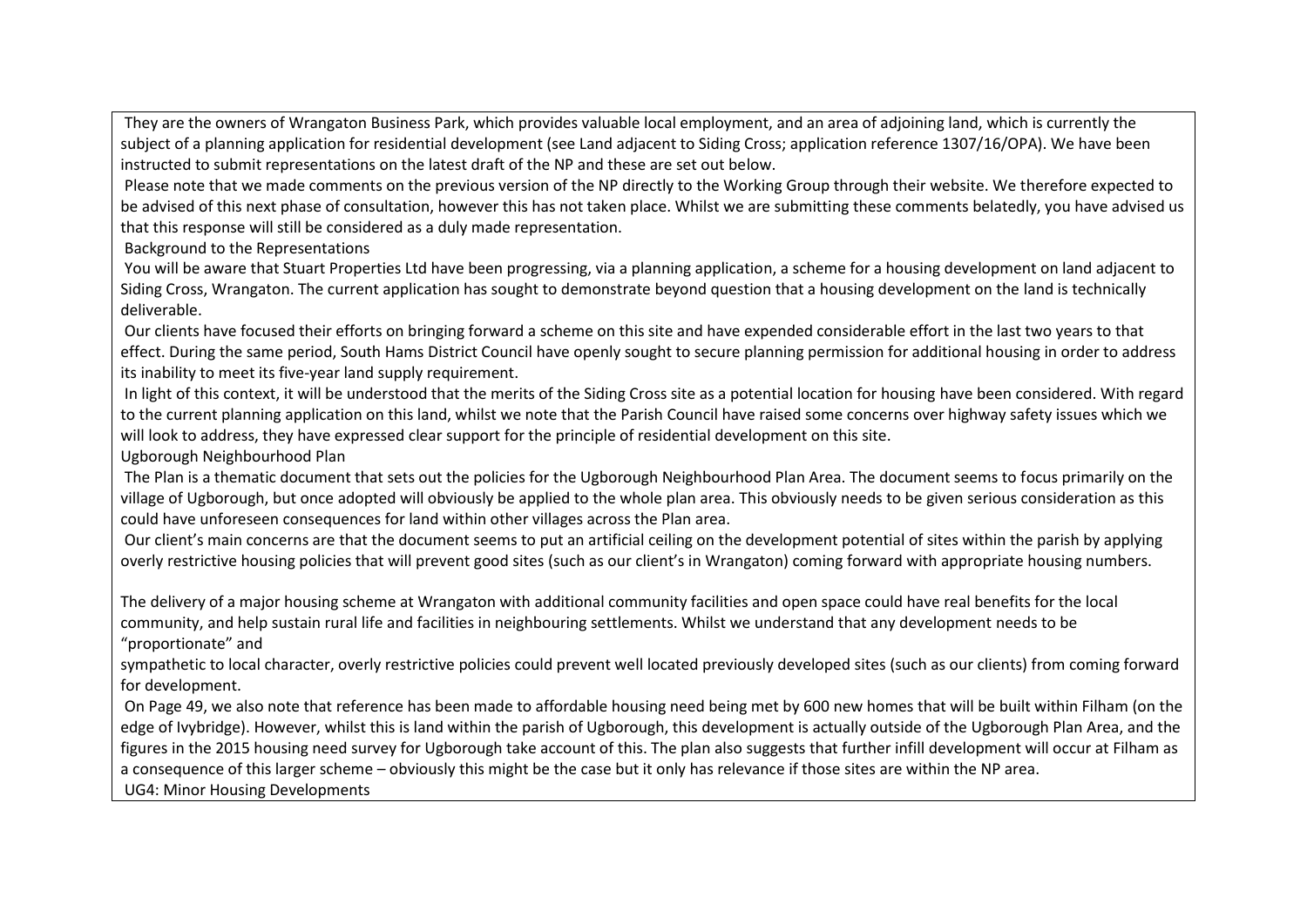They are the owners of Wrangaton Business Park, which provides valuable local employment, and an area of adjoining land, which is currently the subject of a planning application for residential development (see Land adjacent to Siding Cross; application reference 1307/16/OPA). We have been instructed to submit representations on the latest draft of the NP and these are set out below.

Please note that we made comments on the previous version of the NP directly to the Working Group through their website. We therefore expected to be advised of this next phase of consultation, however this has not taken place. Whilst we are submitting these comments belatedly, you have advised us that this response will still be considered as a duly made representation.

Background to the Representations

You will be aware that Stuart Properties Ltd have been progressing, via a planning application, a scheme for a housing development on land adjacent to Siding Cross, Wrangaton. The current application has sought to demonstrate beyond question that a housing development on the land is technically deliverable.

Our clients have focused their efforts on bringing forward a scheme on this site and have expended considerable effort in the last two years to that effect. During the same period, South Hams District Council have openly sought to secure planning permission for additional housing in order to address its inability to meet its five-year land supply requirement.

In light of this context, it will be understood that the merits of the Siding Cross site as a potential location for housing have been considered. With regard to the current planning application on this land, whilst we note that the Parish Council have raised some concerns over highway safety issues which we will look to address, they have expressed clear support for the principle of residential development on this site.

Ugborough Neighbourhood Plan

The Plan is a thematic document that sets out the policies for the Ugborough Neighbourhood Plan Area. The document seems to focus primarily on the village of Ugborough, but once adopted will obviously be applied to the whole plan area. This obviously needs to be given serious consideration as this could have unforeseen consequences for land within other villages across the Plan area.

Our client's main concerns are that the document seems to put an artificial ceiling on the development potential of sites within the parish by applying overly restrictive housing policies that will prevent good sites (such as our client's in Wrangaton) coming forward with appropriate housing numbers.

The delivery of a major housing scheme at Wrangaton with additional community facilities and open space could have real benefits for the local community, and help sustain rural life and facilities in neighbouring settlements. Whilst we understand that any development needs to be "proportionate" and

sympathetic to local character, overly restrictive policies could prevent well located previously developed sites (such as our clients) from coming forward for development.

On Page 49, we also note that reference has been made to affordable housing need being met by 600 new homes that will be built within Filham (on the edge of Ivybridge). However, whilst this is land within the parish of Ugborough, this development is actually outside of the Ugborough Plan Area, and the figures in the 2015 housing need survey for Ugborough take account of this. The plan also suggests that further infill development will occur at Filham as a consequence of this larger scheme – obviously this might be the case but it only has relevance if those sites are within the NP area.

UG4: Minor Housing Developments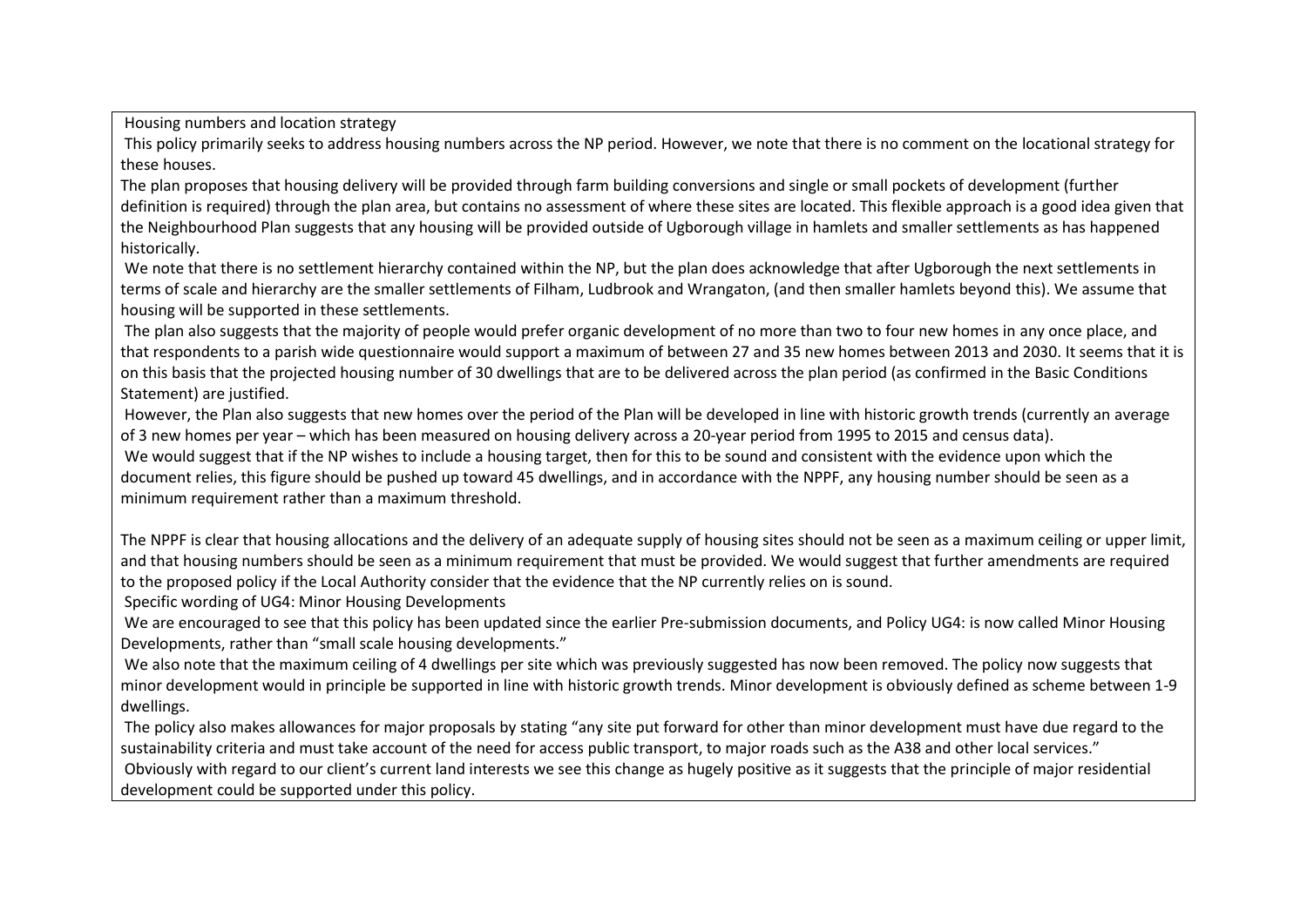Housing numbers and location strategy

This policy primarily seeks to address housing numbers across the NP period. However, we note that there is no comment on the locational strategy for these houses.

The plan proposes that housing delivery will be provided through farm building conversions and single or small pockets of development (further definition is required) through the plan area, but contains no assessment of where these sites are located. This flexible approach is a good idea given that the Neighbourhood Plan suggests that any housing will be provided outside of Ugborough village in hamlets and smaller settlements as has happened historically.

We note that there is no settlement hierarchy contained within the NP, but the plan does acknowledge that after Ugborough the next settlements in terms of scale and hierarchy are the smaller settlements of Filham, Ludbrook and Wrangaton, (and then smaller hamlets beyond this). We assume that housing will be supported in these settlements.

The plan also suggests that the majority of people would prefer organic development of no more than two to four new homes in any once place, and that respondents to a parish wide questionnaire would support a maximum of between 27 and 35 new homes between 2013 and 2030. It seems that it is on this basis that the projected housing number of 30 dwellings that are to be delivered across the plan period (as confirmed in the Basic Conditions Statement) are justified.

However, the Plan also suggests that new homes over the period of the Plan will be developed in line with historic growth trends (currently an average of 3 new homes per year – which has been measured on housing delivery across a 20-year period from 1995 to 2015 and census data).

We would suggest that if the NP wishes to include a housing target, then for this to be sound and consistent with the evidence upon which the document relies, this figure should be pushed up toward 45 dwellings, and in accordance with the NPPF, any housing number should be seen as a minimum requirement rather than a maximum threshold.

The NPPF is clear that housing allocations and the delivery of an adequate supply of housing sites should not be seen as a maximum ceiling or upper limit, and that housing numbers should be seen as a minimum requirement that must be provided. We would suggest that further amendments are required to the proposed policy if the Local Authority consider that the evidence that the NP currently relies on is sound.

Specific wording of UG4: Minor Housing Developments

We are encouraged to see that this policy has been updated since the earlier Pre-submission documents, and Policy UG4: is now called Minor Housing Developments, rather than "small scale housing developments."

We also note that the maximum ceiling of 4 dwellings per site which was previously suggested has now been removed. The policy now suggests that minor development would in principle be supported in line with historic growth trends. Minor development is obviously defined as scheme between 1-9 dwellings.

The policy also makes allowances for major proposals by stating "any site put forward for other than minor development must have due regard to the sustainability criteria and must take account of the need for access public transport, to major roads such as the A38 and other local services." Obviously with regard to our client's current land interests we see this change as hugely positive as it suggests that the principle of major residential development could be supported under this policy.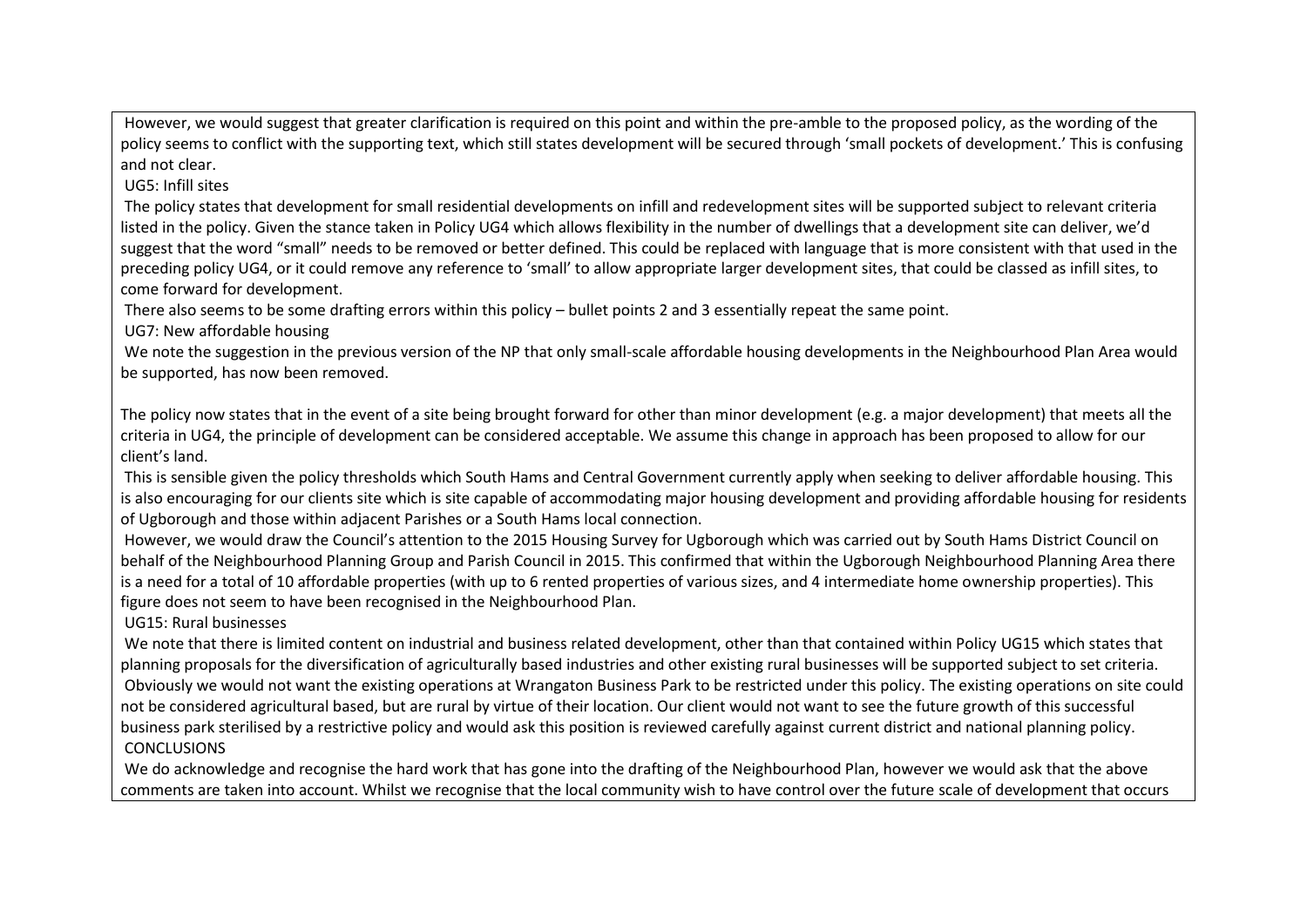However, we would suggest that greater clarification is required on this point and within the pre-amble to the proposed policy, as the wording of the policy seems to conflict with the supporting text, which still states development will be secured through 'small pockets of development.' This is confusing and not clear.

UG5: Infill sites

The policy states that development for small residential developments on infill and redevelopment sites will be supported subject to relevant criteria listed in the policy. Given the stance taken in Policy UG4 which allows flexibility in the number of dwellings that a development site can deliver, we'd suggest that the word "small" needs to be removed or better defined. This could be replaced with language that is more consistent with that used in the preceding policy UG4, or it could remove any reference to 'small' to allow appropriate larger development sites, that could be classed as infill sites, to come forward for development.

There also seems to be some drafting errors within this policy – bullet points 2 and 3 essentially repeat the same point.

UG7: New affordable housing

We note the suggestion in the previous version of the NP that only small-scale affordable housing developments in the Neighbourhood Plan Area would be supported, has now been removed.

The policy now states that in the event of a site being brought forward for other than minor development (e.g. a major development) that meets all the criteria in UG4, the principle of development can be considered acceptable. We assume this change in approach has been proposed to allow for our client's land.

This is sensible given the policy thresholds which South Hams and Central Government currently apply when seeking to deliver affordable housing. This is also encouraging for our clients site which is site capable of accommodating major housing development and providing affordable housing for residents of Ugborough and those within adjacent Parishes or a South Hams local connection.

However, we would draw the Council's attention to the 2015 Housing Survey for Ugborough which was carried out by South Hams District Council on behalf of the Neighbourhood Planning Group and Parish Council in 2015. This confirmed that within the Ugborough Neighbourhood Planning Area there is a need for a total of 10 affordable properties (with up to 6 rented properties of various sizes, and 4 intermediate home ownership properties). This figure does not seem to have been recognised in the Neighbourhood Plan.

UG15: Rural businesses

We note that there is limited content on industrial and business related development, other than that contained within Policy UG15 which states that planning proposals for the diversification of agriculturally based industries and other existing rural businesses will be supported subject to set criteria. Obviously we would not want the existing operations at Wrangaton Business Park to be restricted under this policy. The existing operations on site could not be considered agricultural based, but are rural by virtue of their location. Our client would not want to see the future growth of this successful business park sterilised by a restrictive policy and would ask this position is reviewed carefully against current district and national planning policy. **CONCLUSIONS** 

We do acknowledge and recognise the hard work that has gone into the drafting of the Neighbourhood Plan, however we would ask that the above comments are taken into account. Whilst we recognise that the local community wish to have control over the future scale of development that occurs